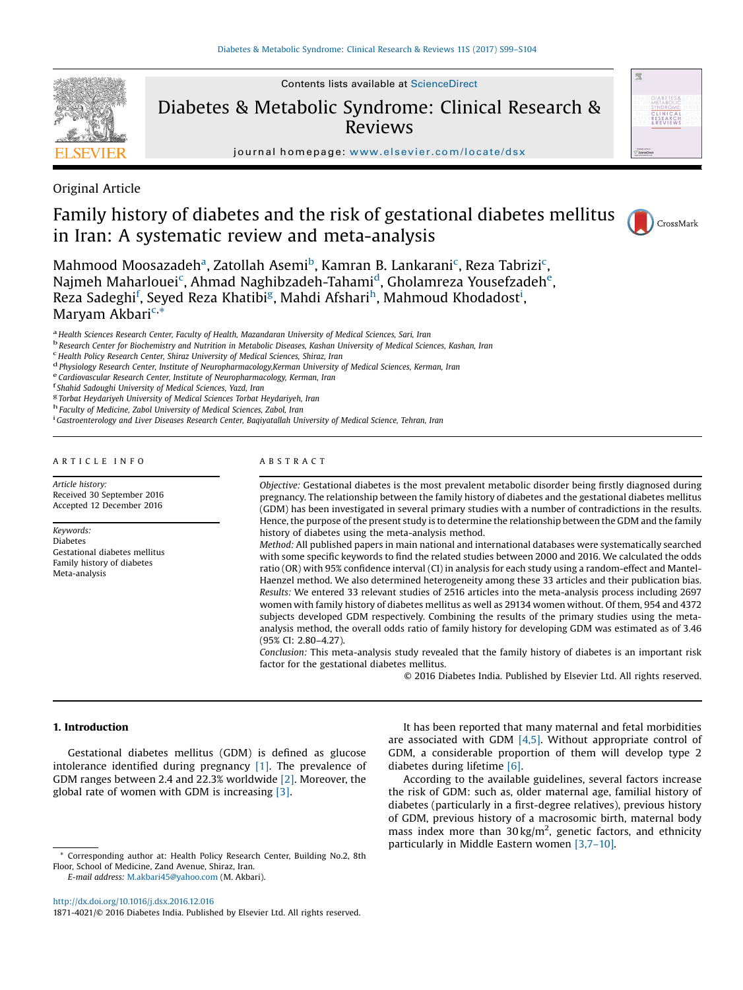

Contents lists available at [ScienceDirect](http://www.sciencedirect.com/science/journal/18714021)

Diabetes & Metabolic Syndrome: Clinical Research & Reviews



journal homepage: <www.elsevier.com/locate/dsx>

Original Article

# Family history of diabetes and the risk of gestational diabetes mellitus in Iran: A systematic review and meta-analysis



Mahmood Moosazadeh<sup>a</sup>, Zatollah Asemi<sup>b</sup>, Kamran B. Lankarani<sup>c</sup>, Reza Tabrizi<sup>c</sup>, Najmeh Maharlouei<sup>c</sup>, Ahmad Naghibzadeh-Tahami<sup>d</sup>, Gholamreza Yousefzadeh<sup>e</sup>, Reza Sadeghi<sup>f</sup>, Seyed Reza Khatibi<sup>g</sup>, Mahdi Afshari<sup>h</sup>, Mahmoud Khodadost<sup>i</sup>, Maryam Akbari<sup>c,\*</sup>

<sup>a</sup> Health Sciences Research Center, Faculty of Health, Mazandaran University of Medical Sciences, Sari, Iran<br><sup>b</sup> Research Center for Biochemistry and Nutrition in Metabolic Diseases, Kashan University of Medical Sciences,

<sup>d</sup> Physiology Research Center, Institute of Neuropharmacology, Kerman University of Medical Sciences, Kerman, Iran<br>
<sup>e</sup> Cardiovascular Research Center, Institute of Neuropharmacology, Kerman, Iran<br>
<sup>f</sup> Shahid Sadoughi Un

<sup>g</sup> Torbat Heydariyeh University of Medical Sciences Torbat Heydariyeh, Iran h Faculty of Medicine, Zabol University of Medical Sciences, Zabol, Iran

<sup>i</sup> Gastroenterology and Liver Diseases Research Center, Baqiyatallah University of Medical Science, Tehran, Iran

# A R T I C L E I N F O

Article history: Received 30 September 2016 Accepted 12 December 2016

Keywords: Diabetes Gestational diabetes mellitus Family history of diabetes Meta-analysis

# A B S T R A C T

Objective: Gestational diabetes is the most prevalent metabolic disorder being firstly diagnosed during pregnancy. The relationship between the family history of diabetes and the gestational diabetes mellitus (GDM) has been investigated in several primary studies with a number of contradictions in the results. Hence, the purpose of the present study is to determine the relationship between the GDM and the family history of diabetes using the meta-analysis method.

Method: All published papers in main national and international databases were systematically searched with some specific keywords to find the related studies between 2000 and 2016. We calculated the odds ratio (OR) with 95% confidence interval (CI) in analysis for each study using a random-effect and Mantel-Haenzel method. We also determined heterogeneity among these 33 articles and their publication bias. Results: We entered 33 relevant studies of 2516 articles into the meta-analysis process including 2697 women with family history of diabetes mellitus as well as 29134 women without. Of them, 954 and 4372 subjects developed GDM respectively. Combining the results of the primary studies using the metaanalysis method, the overall odds ratio of family history for developing GDM was estimated as of 3.46 (95% CI: 2.80–4.27).

Conclusion: This meta-analysis study revealed that the family history of diabetes is an important risk factor for the gestational diabetes mellitus.

© 2016 Diabetes India. Published by Elsevier Ltd. All rights reserved.

### 1. Introduction

Gestational diabetes mellitus (GDM) is defined as glucose intolerance identified during pregnancy [\[1\].](#page-4-0) The prevalence of GDM ranges between 2.4 and 22.3% worldwide [\[2\]](#page-4-0). Moreover, the global rate of women with GDM is increasing [\[3\]](#page-4-0).

E-mail address: [M.akbari45@yahoo.com](mailto:M.akbari45@yahoo.com) (M. Akbari).

<http://dx.doi.org/10.1016/j.dsx.2016.12.016>

It has been reported that many maternal and fetal morbidities are associated with GDM [\[4,5\]](#page-4-0). Without appropriate control of GDM, a considerable proportion of them will develop type 2 diabetes during lifetime [\[6\].](#page-4-0)

According to the available guidelines, several factors increase the risk of GDM: such as, older maternal age, familial history of diabetes (particularly in a first-degree relatives), previous history of GDM, previous history of a macrosomic birth, maternal body mass index more than  $30 \text{ kg/m}^2$ , genetic factors, and ethnicity particularly in Middle Eastern women [\[3,7](#page-4-0)–10].

Corresponding author at: Health Policy Research Center, Building No.2, 8th Floor, School of Medicine, Zand Avenue, Shiraz, Iran.

<sup>1871-4021/©</sup> 2016 Diabetes India. Published by Elsevier Ltd. All rights reserved.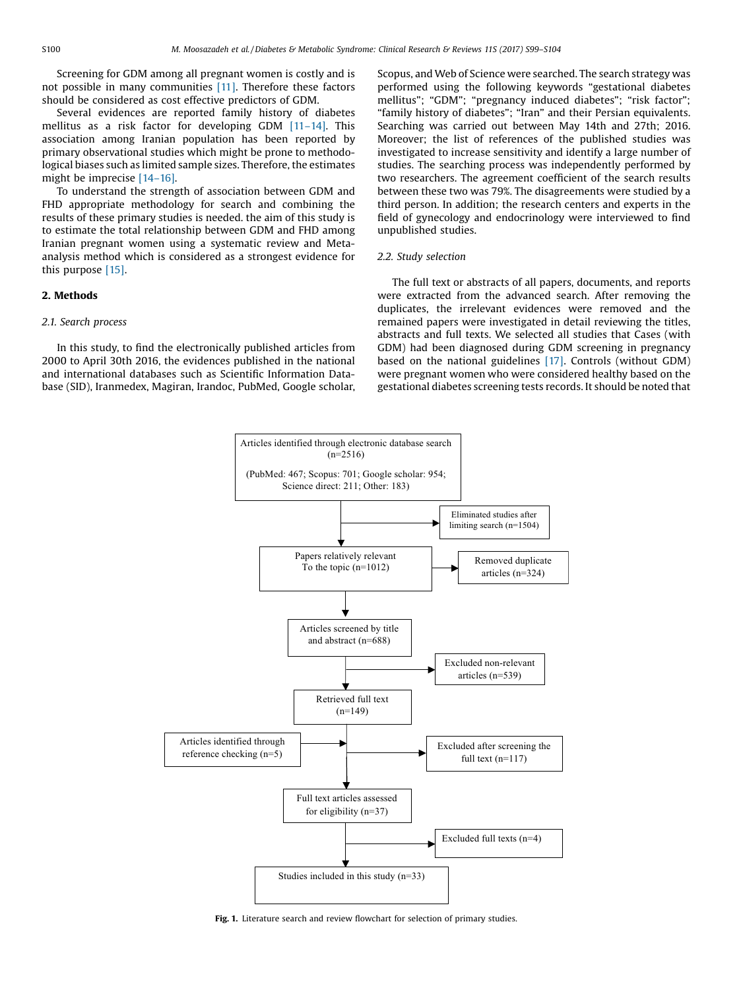<span id="page-1-0"></span>Screening for GDM among all pregnant women is costly and is not possible in many communities [\[11\]](#page-4-0). Therefore these factors should be considered as cost effective predictors of GDM.

Several evidences are reported family history of diabetes mellitus as a risk factor for developing GDM [11–[14\]](#page-4-0). This association among Iranian population has been reported by primary observational studies which might be prone to methodological biases such as limited sample sizes. Therefore, the estimates might be imprecise [\[14](#page-4-0)–16].

To understand the strength of association between GDM and FHD appropriate methodology for search and combining the results of these primary studies is needed. the aim of this study is to estimate the total relationship between GDM and FHD among Iranian pregnant women using a systematic review and Metaanalysis method which is considered as a strongest evidence for this purpose [\[15\].](#page-5-0)

# 2. Methods

# 2.1. Search process

In this study, to find the electronically published articles from 2000 to April 30th 2016, the evidences published in the national and international databases such as Scientific Information Database (SID), Iranmedex, Magiran, Irandoc, PubMed, Google scholar, Scopus, and Web of Science were searched. The search strategy was performed using the following keywords "gestational diabetes mellitus"; "GDM"; "pregnancy induced diabetes"; "risk factor"; "family history of diabetes"; "Iran" and their Persian equivalents. Searching was carried out between May 14th and 27th; 2016. Moreover; the list of references of the published studies was investigated to increase sensitivity and identify a large number of studies. The searching process was independently performed by two researchers. The agreement coefficient of the search results between these two was 79%. The disagreements were studied by a third person. In addition; the research centers and experts in the field of gynecology and endocrinology were interviewed to find unpublished studies.

#### 2.2. Study selection

The full text or abstracts of all papers, documents, and reports were extracted from the advanced search. After removing the duplicates, the irrelevant evidences were removed and the remained papers were investigated in detail reviewing the titles, abstracts and full texts. We selected all studies that Cases (with GDM) had been diagnosed during GDM screening in pregnancy based on the national guidelines [\[17\]](#page-5-0). Controls (without GDM) were pregnant women who were considered healthy based on the gestational diabetes screening tests records. It should be noted that



Fig. 1. Literature search and review flowchart for selection of primary studies.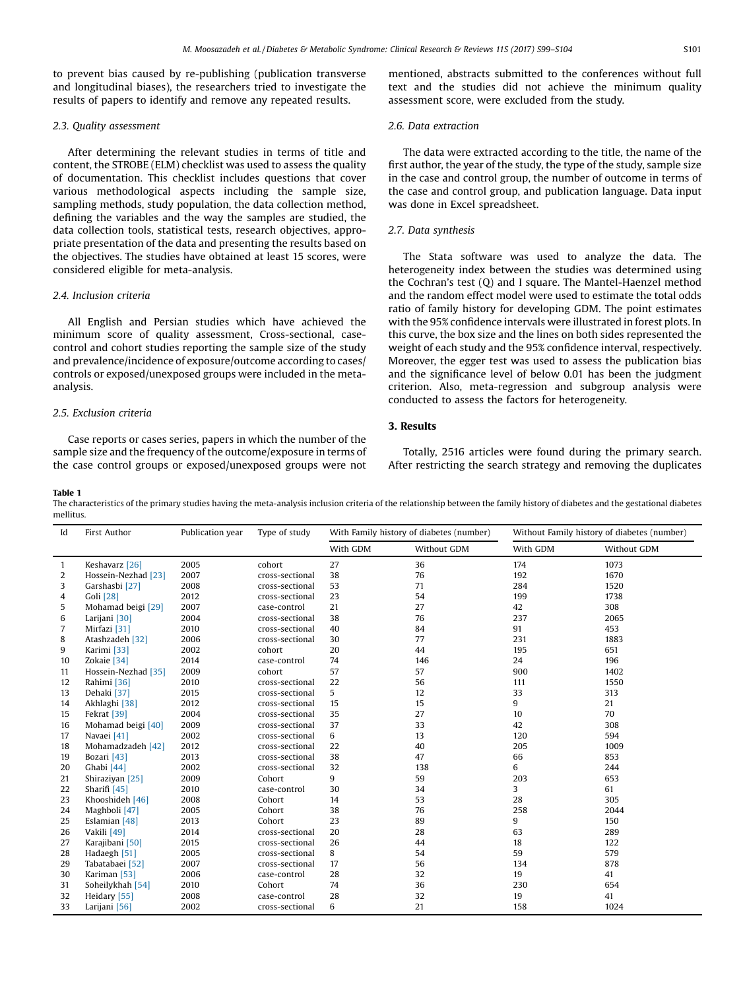<span id="page-2-0"></span>to prevent bias caused by re-publishing (publication transverse and longitudinal biases), the researchers tried to investigate the results of papers to identify and remove any repeated results.

# 2.3. Quality assessment

After determining the relevant studies in terms of title and content, the STROBE (ELM) checklist was used to assess the quality of documentation. This checklist includes questions that cover various methodological aspects including the sample size, sampling methods, study population, the data collection method, defining the variables and the way the samples are studied, the data collection tools, statistical tests, research objectives, appropriate presentation of the data and presenting the results based on the objectives. The studies have obtained at least 15 scores, were considered eligible for meta-analysis.

# 2.4. Inclusion criteria

All English and Persian studies which have achieved the minimum score of quality assessment, Cross-sectional, casecontrol and cohort studies reporting the sample size of the study and prevalence/incidence of exposure/outcome according to cases/ controls or exposed/unexposed groups were included in the metaanalysis.

# 2.5. Exclusion criteria

Case reports or cases series, papers in which the number of the sample size and the frequency of the outcome/exposure in terms of the case control groups or exposed/unexposed groups were not mentioned, abstracts submitted to the conferences without full text and the studies did not achieve the minimum quality assessment score, were excluded from the study.

# 2.6. Data extraction

The data were extracted according to the title, the name of the first author, the year of the study, the type of the study, sample size in the case and control group, the number of outcome in terms of the case and control group, and publication language. Data input was done in Excel spreadsheet.

### 2.7. Data synthesis

The Stata software was used to analyze the data. The heterogeneity index between the studies was determined using the Cochran's test (Q) and I square. The Mantel-Haenzel method and the random effect model were used to estimate the total odds ratio of family history for developing GDM. The point estimates with the 95% confidence intervals were illustrated in forest plots. In this curve, the box size and the lines on both sides represented the weight of each study and the 95% confidence interval, respectively. Moreover, the egger test was used to assess the publication bias and the significance level of below 0.01 has been the judgment criterion. Also, meta-regression and subgroup analysis were conducted to assess the factors for heterogeneity.

# 3. Results

Totally, 2516 articles were found during the primary search. After restricting the search strategy and removing the duplicates

#### Table 1

The characteristics of the primary studies having the meta-analysis inclusion criteria of the relationship between the family history of diabetes and the gestational diabetes mellitus.

| Id           | First Author            | Publication year | Type of study   | With Family history of diabetes (number) |             | Without Family history of diabetes (number) |             |
|--------------|-------------------------|------------------|-----------------|------------------------------------------|-------------|---------------------------------------------|-------------|
|              |                         |                  |                 | With GDM                                 | Without GDM | With GDM                                    | Without GDM |
| $\mathbf{1}$ | Keshavarz [26]          | 2005             | cohort          | 27                                       | 36          | 174                                         | 1073        |
| 2            | Hossein-Nezhad [23]     | 2007             | cross-sectional | 38                                       | 76          | 192                                         | 1670        |
| 3            | Garshasbi [27]          | 2008             | cross-sectional | 53                                       | 71          | 284                                         | 1520        |
| 4            | Goli [28]               | 2012             | cross-sectional | 23                                       | 54          | 199                                         | 1738        |
| 5            | Mohamad beigi [29]      | 2007             | case-control    | 21                                       | 27          | 42                                          | 308         |
| 6            | Larijani [30]           | 2004             | cross-sectional | 38                                       | 76          | 237                                         | 2065        |
| 7            | Mirfazi [31]            | 2010             | cross-sectional | 40                                       | 84          | 91                                          | 453         |
| 8            | Atashzadeh [32]         | 2006             | cross-sectional | 30                                       | 77          | 231                                         | 1883        |
| 9            | Karimi [33]             | 2002             | cohort          | 20                                       | 44          | 195                                         | 651         |
| 10           | Zokaie [34]             | 2014             | case-control    | 74                                       | 146         | 24                                          | 196         |
| 11           | Hossein-Nezhad [35]     | 2009             | cohort          | 57                                       | 57          | 900                                         | 1402        |
| 12           | Rahimi [36]             | 2010             | cross-sectional | 22                                       | 56          | 111                                         | 1550        |
| 13           | Dehaki [37]             | 2015             | cross-sectional | 5                                        | 12          | 33                                          | 313         |
| 14           | Akhlaghi [38]           | 2012             | cross-sectional | 15                                       | 15          | 9                                           | 21          |
| 15           | Fekrat [39]             | 2004             | cross-sectional | 35                                       | 27          | 10                                          | 70          |
| 16           | Mohamad beigi [40]      | 2009             | cross-sectional | 37                                       | 33          | 42                                          | 308         |
| 17           | Navaei [41]             | 2002             | cross-sectional | 6                                        | 13          | 120                                         | 594         |
| 18           | Mohamadzadeh [42]       | 2012             | cross-sectional | 22                                       | 40          | 205                                         | 1009        |
| 19           | Bozari [43]             | 2013             | cross-sectional | 38                                       | 47          | 66                                          | 853         |
| 20           | Ghabi [44]              | 2002             | cross-sectional | 32                                       | 138         | 6                                           | 244         |
| 21           | Shiraziyan [25]         | 2009             | Cohort          | 9                                        | 59          | 203                                         | 653         |
| 22           | Sharifi <sup>[45]</sup> | 2010             | case-control    | 30                                       | 34          | 3                                           | 61          |
| 23           | Khooshideh [46]         | 2008             | Cohort          | 14                                       | 53          | 28                                          | 305         |
| 24           | Maghboli [47]           | 2005             | Cohort          | 38                                       | 76          | 258                                         | 2044        |
| 25           | Eslamian [48]           | 2013             | Cohort          | 23                                       | 89          | 9                                           | 150         |
| 26           | Vakili [49]             | 2014             | cross-sectional | 20                                       | 28          | 63                                          | 289         |
| 27           | Karajibani [50]         | 2015             | cross-sectional | 26                                       | 44          | 18                                          | 122         |
| 28           | Hadaegh [51]            | 2005             | cross-sectional | 8                                        | 54          | 59                                          | 579         |
| 29           | Tabatabaei [52]         | 2007             | cross-sectional | 17                                       | 56          | 134                                         | 878         |
| 30           | Kariman [53]            | 2006             | case-control    | 28                                       | 32          | 19                                          | 41          |
| 31           | Soheilykhah [54]        | 2010             | Cohort          | 74                                       | 36          | 230                                         | 654         |
| 32           | Heidary [55]            | 2008             | case-control    | 28                                       | 32          | 19                                          | 41          |
| 33           | Larijani [56]           | 2002             | cross-sectional | 6                                        | 21          | 158                                         | 1024        |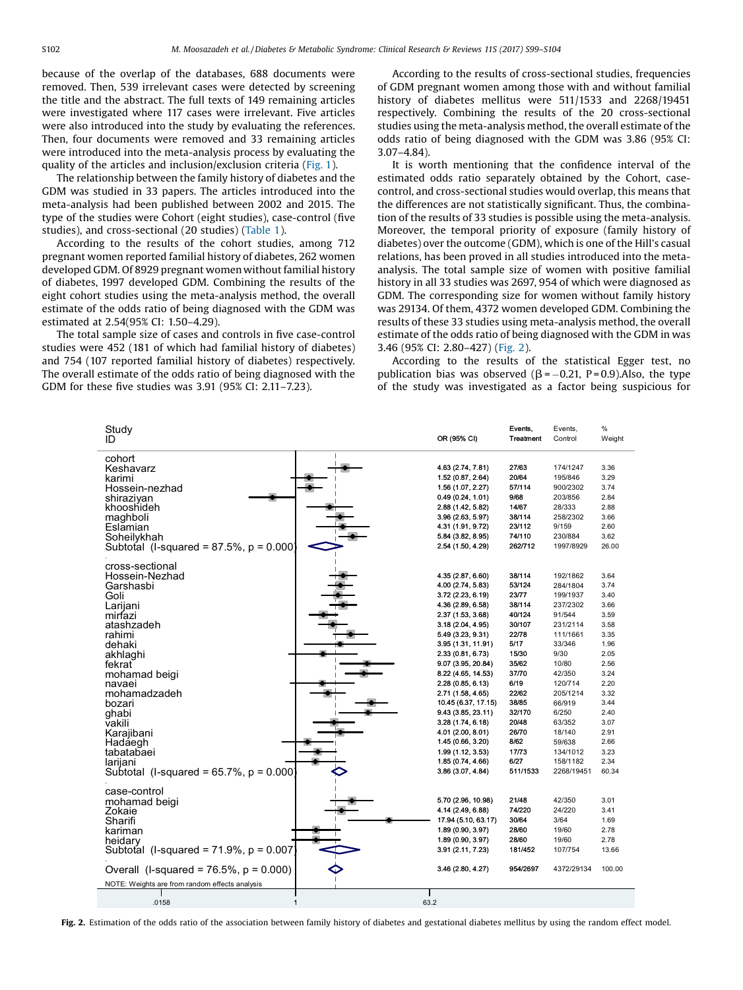because of the overlap of the databases, 688 documents were removed. Then, 539 irrelevant cases were detected by screening the title and the abstract. The full texts of 149 remaining articles were investigated where 117 cases were irrelevant. Five articles were also introduced into the study by evaluating the references. Then, four documents were removed and 33 remaining articles were introduced into the meta-analysis process by evaluating the quality of the articles and inclusion/exclusion criteria ([Fig.](#page-1-0) 1).

The relationship between the family history of diabetes and the GDM was studied in 33 papers. The articles introduced into the meta-analysis had been published between 2002 and 2015. The type of the studies were Cohort (eight studies), case-control (five studies), and cross-sectional (20 studies) ([Table](#page-2-0) 1).

According to the results of the cohort studies, among 712 pregnant women reported familial history of diabetes, 262 women developed GDM. Of 8929 pregnant women without familial history of diabetes, 1997 developed GDM. Combining the results of the eight cohort studies using the meta-analysis method, the overall estimate of the odds ratio of being diagnosed with the GDM was estimated at 2.54(95% CI: 1.50–4.29).

The total sample size of cases and controls in five case-control studies were 452 (181 of which had familial history of diabetes) and 754 (107 reported familial history of diabetes) respectively. The overall estimate of the odds ratio of being diagnosed with the GDM for these five studies was 3.91 (95% CI: 2.11–7.23).

According to the results of cross-sectional studies, frequencies of GDM pregnant women among those with and without familial history of diabetes mellitus were 511/1533 and 2268/19451 respectively. Combining the results of the 20 cross-sectional studies using the meta-analysis method, the overall estimate of the odds ratio of being diagnosed with the GDM was 3.86 (95% CI: 3.07–4.84).

It is worth mentioning that the confidence interval of the estimated odds ratio separately obtained by the Cohort, casecontrol, and cross-sectional studies would overlap, this means that the differences are not statistically significant. Thus, the combination of the results of 33 studies is possible using the meta-analysis. Moreover, the temporal priority of exposure (family history of diabetes) over the outcome (GDM), which is one of the Hill's casual relations, has been proved in all studies introduced into the metaanalysis. The total sample size of women with positive familial history in all 33 studies was 2697, 954 of which were diagnosed as GDM. The corresponding size for women without family history was 29134. Of them, 4372 women developed GDM. Combining the results of these 33 studies using meta-analysis method, the overall estimate of the odds ratio of being diagnosed with the GDM in was 3.46 (95% CI: 2.80–427) (Fig. 2).

According to the results of the statistical Egger test, no publication bias was observed ( $\beta$  = -0.21, P = 0.9). Also, the type of the study was investigated as a factor being suspicious for

| Study<br>ID                                    | OR (95% CI)                              | Events,<br>Treatment | Events,<br>Control | %<br>Weight |
|------------------------------------------------|------------------------------------------|----------------------|--------------------|-------------|
| cohort<br>Keshavarz                            | 4.63 (2.74, 7.81)                        | 27/63                | 174/1247           | 3.36        |
| karimi                                         | 1.52 (0.87, 2.64)                        | 20/64                | 195/846            | 3.29        |
| Hossein-nezhad                                 | 1.56 (1.07, 2.27)                        | 57/114               | 900/2302           | 3.74        |
| shirazivan                                     | 0.49(0.24, 1.01)                         | 9/68                 | 203/856            | 2.84        |
| khooshideh                                     | 2.88 (1.42, 5.82)                        | 14/67                | 28/333             | 2.88        |
| maghboli                                       | 3.96 (2.63, 5.97)                        | 38/114               | 258/2302           | 3.66        |
| Eslamian                                       | 4.31 (1.91, 9.72)                        | 23/112               | 9/159              | 2.60        |
| Soheilykhah                                    | 5.84 (3.82, 8.95)                        | 74/110               | 230/884            | 3.62        |
| Subtotal (I-squared = $87.5\%$ , p = 0.000)    | 2.54 (1.50, 4.29)                        | 262/712              | 1997/8929          | 26.00       |
|                                                |                                          |                      |                    |             |
| cross-sectional<br>Hossein-Nezhad              | 4.35 (2.87, 6.60)                        | 38/114               | 192/1862           | 3.64        |
| Garshasbi                                      | 4.00 (2.74, 5.83)                        | 53/124               | 284/1804           | 3.74        |
| Goli                                           | 3.72 (2.23, 6.19)                        | 23/77                | 199/1937           | 3.40        |
| Larijani                                       | 4.36 (2.89, 6.58)                        | 38/114               | 237/2302           | 3.66        |
| mirfazi                                        | 2.37 (1.53, 3.68)                        | 40/124               | 91/544             | 3.59        |
| atashzadeh                                     | 3.18 (2.04, 4.95)                        | 30/107               | 231/2114           | 3.58        |
| rahimi                                         | 5.49 (3.23, 9.31)                        | 22/78                | 111/1661           | 3.35        |
| dehaki                                         | 3.95 (1.31, 11.91)                       | 5/17                 | 33/346             | 1.96        |
| akhlaghi                                       | 2.33(0.81, 6.73)                         | 15/30                | 9/30               | 2.05        |
| fekrat                                         | 9.07 (3.95, 20.84)                       | 35/62                | 10/80              | 2.56        |
| mohamad beigi                                  | 8.22 (4.65, 14.53)                       | 37/70                | 42/350             | 3.24        |
| navaei                                         | 2.28 (0.85, 6.13)                        | 6/19                 | 120/714            | 2.20        |
| mohamadzadeh                                   | 2.71 (1.58, 4.65)                        | 22/62                | 205/1214           | 3.32        |
| bozari                                         | 10.45 (6.37, 17.15)                      | 38/85                | 66/919             | 3.44        |
| ghabi                                          | 9.43 (3.85, 23.11)                       | 32/170               | 6/250              | 2.40        |
| vakili                                         | 3.28(1.74, 6.18)                         | 20/48                | 63/352             | 3.07        |
| Karajibani                                     | 4.01 (2.00, 8.01)                        | 26/70                | 18/140             | 2.91        |
| Hadaegh                                        | 1.45 (0.66, 3.20)                        | 8/62                 | 59/638             | 2.66        |
| tabatabaei                                     | 1.99 (1.12, 3.53)                        | 17/73                | 134/1012           | 3.23        |
| larijani                                       | 1.85 (0.74, 4.66)                        | 6/27                 | 158/1182           | 2.34        |
| Subtotal (I-squared = $65.7\%$ , p = 0.000)    | 3.86 (3.07, 4.84)                        | 511/1533             | 2268/19451         | 60.34       |
| case-control                                   | 5.70 (2.96, 10.98)                       | 21/48                | 42/350             | 3.01        |
| mohamad beigi                                  |                                          | 74/220               | 24/220             | 3.41        |
| Zokaie<br>Sharifi                              | 4.14 (2.49, 6.88)<br>17.94 (5.10, 63.17) | 30/64                | 3/64               | 1.69        |
|                                                |                                          | 28/60                | 19/60              | 2.78        |
| kariman                                        | 1.89 (0.90, 3.97)<br>1.89 (0.90, 3.97)   | 28/60                | 19/60              | 2.78        |
| heidary                                        | 3.91 (2.11, 7.23)                        | 181/452              | 107/754            | 13.66       |
| Subtotal (I-squared = $71.9\%$ , $p = 0.007$   |                                          |                      |                    |             |
| Overall (I-squared = $76.5\%$ , $p = 0.000$ )  | 3.46 (2.80, 4.27)                        | 954/2697             | 4372/29134         | 100.00      |
| NOTE: Weights are from random effects analysis |                                          |                      |                    |             |
| .0158<br>$\mathbf{1}$                          | 63.2                                     |                      |                    |             |
|                                                |                                          |                      |                    |             |

Fig. 2. Estimation of the odds ratio of the association between family history of diabetes and gestational diabetes mellitus by using the random effect model.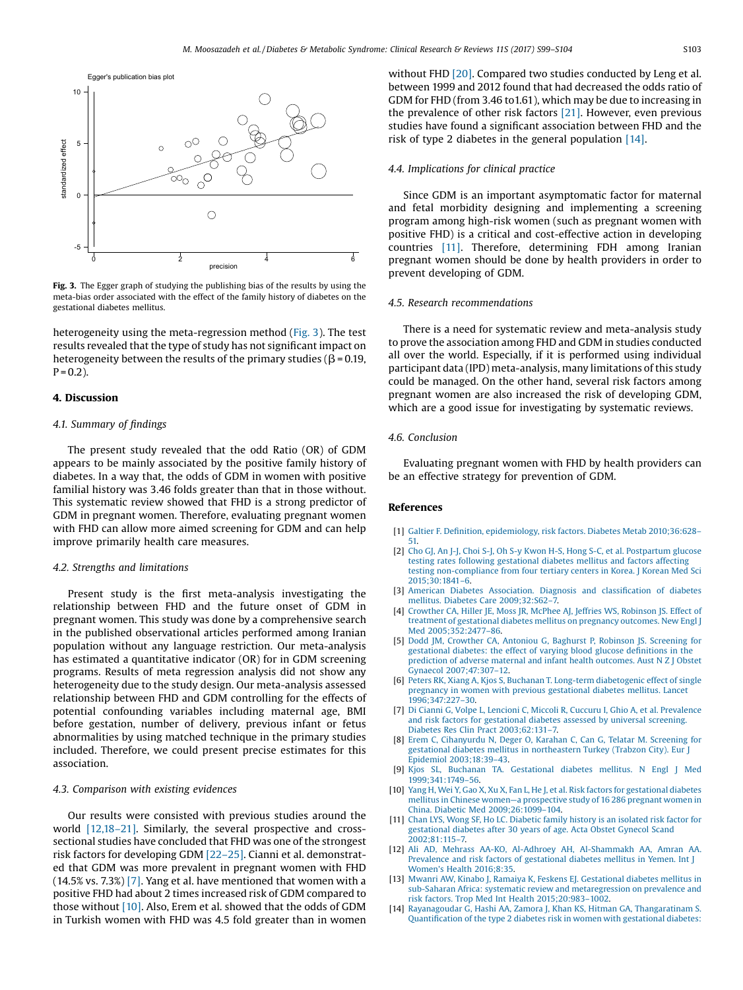<span id="page-4-0"></span>

Fig. 3. The Egger graph of studying the publishing bias of the results by using the meta-bias order associated with the effect of the family history of diabetes on the gestational diabetes mellitus.

heterogeneity using the meta-regression method (Fig. 3). The test results revealed that the type of study has not significant impact on heterogeneity between the results of the primary studies ( $\beta$  = 0.19,  $P = 0.2$ ).

### 4. Discussion

#### 4.1. Summary of findings

The present study revealed that the odd Ratio (OR) of GDM appears to be mainly associated by the positive family history of diabetes. In a way that, the odds of GDM in women with positive familial history was 3.46 folds greater than that in those without. This systematic review showed that FHD is a strong predictor of GDM in pregnant women. Therefore, evaluating pregnant women with FHD can allow more aimed screening for GDM and can help improve primarily health care measures.

#### 4.2. Strengths and limitations

Present study is the first meta-analysis investigating the relationship between FHD and the future onset of GDM in pregnant women. This study was done by a comprehensive search in the published observational articles performed among Iranian population without any language restriction. Our meta-analysis has estimated a quantitative indicator (OR) for in GDM screening programs. Results of meta regression analysis did not show any heterogeneity due to the study design. Our meta-analysis assessed relationship between FHD and GDM controlling for the effects of potential confounding variables including maternal age, BMI before gestation, number of delivery, previous infant or fetus abnormalities by using matched technique in the primary studies included. Therefore, we could present precise estimates for this association.

### 4.3. Comparison with existing evidences

Our results were consisted with previous studies around the world [12,18–21]. Similarly, the several prospective and crosssectional studies have concluded that FHD was one of the strongest risk factors for developing GDM [\[22](#page-5-0)–25]. Cianni et al. demonstrated that GDM was more prevalent in pregnant women with FHD (14.5% vs. 7.3%) [7]. Yang et al. have mentioned that women with a positive FHD had about 2 times increased risk of GDM compared to those without [10]. Also, Erem et al. showed that the odds of GDM in Turkish women with FHD was 4.5 fold greater than in women without FHD [\[20\]](#page-5-0). Compared two studies conducted by Leng et al. between 1999 and 2012 found that had decreased the odds ratio of GDM for FHD (from 3.46 to1.61), which may be due to increasing in the prevalence of other risk factors [\[21\]](#page-5-0). However, even previous studies have found a significant association between FHD and the risk of type 2 diabetes in the general population [14].

### 4.4. Implications for clinical practice

Since GDM is an important asymptomatic factor for maternal and fetal morbidity designing and implementing a screening program among high-risk women (such as pregnant women with positive FHD) is a critical and cost-effective action in developing countries [11]. Therefore, determining FDH among Iranian pregnant women should be done by health providers in order to prevent developing of GDM.

### 4.5. Research recommendations

There is a need for systematic review and meta-analysis study to prove the association among FHD and GDM in studies conducted all over the world. Especially, if it is performed using individual participant data (IPD) meta-analysis, many limitations of this study could be managed. On the other hand, several risk factors among pregnant women are also increased the risk of developing GDM, which are a good issue for investigating by systematic reviews.

# 4.6. Conclusion

Evaluating pregnant women with FHD by health providers can be an effective strategy for prevention of GDM.

### References

- [1] Galtier F. Definition, [epidemiology,](http://refhub.elsevier.com/S1871-4021(16)30239-9/sbref0005) risk factors. Diabetes Metab 2010;36:628– [51.](http://refhub.elsevier.com/S1871-4021(16)30239-9/sbref0005)
- [2] Cho GJ, An J-J, Choi S-J, Oh S-y Kwon H-S, Hong S-C, et al. [Postpartum](http://refhub.elsevier.com/S1871-4021(16)30239-9/sbref0010) glucose testing rates following [gestational](http://refhub.elsevier.com/S1871-4021(16)30239-9/sbref0010) diabetes mellitus and factors affecting testing [non-compliance](http://refhub.elsevier.com/S1871-4021(16)30239-9/sbref0010) from four tertiary centers in Korea. J Korean Med Sci [2015;30:1841](http://refhub.elsevier.com/S1871-4021(16)30239-9/sbref0010)–6.
- [3] American Diabetes [Association.](http://refhub.elsevier.com/S1871-4021(16)30239-9/sbref0015) Diagnosis and classification of diabetes mellitus. Diabetes Care [2009;32:S62](http://refhub.elsevier.com/S1871-4021(16)30239-9/sbref0015)–7.
- [4] [Crowther](http://refhub.elsevier.com/S1871-4021(16)30239-9/sbref0020) CA, Hiller JE, Moss JR, McPhee AJ, Jeffries WS, Robinson JS. Effect of treatment of [gestational](http://refhub.elsevier.com/S1871-4021(16)30239-9/sbref0020) diabetes mellitus on pregnancy outcomes. New Engl J Med [2005;352:2477](http://refhub.elsevier.com/S1871-4021(16)30239-9/sbref0020)–86.
- [5] Dodd JM, Crowther CA, Antoniou G, Baghurst P, Robinson JS. [Screening](http://refhub.elsevier.com/S1871-4021(16)30239-9/sbref0025) for [gestational](http://refhub.elsevier.com/S1871-4021(16)30239-9/sbref0025) diabetes: the effect of varying blood glucose definitions in the [prediction](http://refhub.elsevier.com/S1871-4021(16)30239-9/sbref0025) of adverse maternal and infant health outcomes. Aust N Z J Obstet Gynaecol [2007;47:307](http://refhub.elsevier.com/S1871-4021(16)30239-9/sbref0025)–12.
- [6] Peters RK, Xiang A, Kjos S, Buchanan T. Long-term [diabetogenic](http://refhub.elsevier.com/S1871-4021(16)30239-9/sbref0030) effect of single pregnancy in women with previous [gestational](http://refhub.elsevier.com/S1871-4021(16)30239-9/sbref0030) diabetes mellitus. Lancet [1996;347:227](http://refhub.elsevier.com/S1871-4021(16)30239-9/sbref0030)–30.
- [7] Di Cianni G, Volpe L, Lencioni C, Miccoli R, Cuccuru I, Ghio A, et al. [Prevalence](http://refhub.elsevier.com/S1871-4021(16)30239-9/sbref0035) and risk factors for [gestational](http://refhub.elsevier.com/S1871-4021(16)30239-9/sbref0035) diabetes assessed by universal screening. Diabetes Res Clin Pract [2003;62:131](http://refhub.elsevier.com/S1871-4021(16)30239-9/sbref0035)–7.
- [8] Erem C, [Cihanyurdu](http://refhub.elsevier.com/S1871-4021(16)30239-9/sbref0040) N, Deger O, Karahan C, Can G, Telatar M. Screening for gestational diabetes mellitus in [northeastern](http://refhub.elsevier.com/S1871-4021(16)30239-9/sbref0040) Turkey (Trabzon City). Eur J Epidemiol [2003;18:39](http://refhub.elsevier.com/S1871-4021(16)30239-9/sbref0040)–43.
- [9] Kjos SL, Buchanan TA. [Gestational](http://refhub.elsevier.com/S1871-4021(16)30239-9/sbref0045) diabetes mellitus. N Engl J Med [1999;341:1749](http://refhub.elsevier.com/S1871-4021(16)30239-9/sbref0045)–56.
- [10] Yang H, Wei Y, Gao X, Xu X, Fan L, He J, et al. Risk factors for [gestational](http://refhub.elsevier.com/S1871-4021(16)30239-9/sbref0050) diabetes mellitus in Chinese women—a [prospective](http://refhub.elsevier.com/S1871-4021(16)30239-9/sbref0050) study of 16 286 pregnant women in China. Diabetic Med [2009;26:1099](http://refhub.elsevier.com/S1871-4021(16)30239-9/sbref0050)–104.
- [11] Chan LYS, Wong SF, Ho LC. [Diabetic](http://refhub.elsevier.com/S1871-4021(16)30239-9/sbref0055) family history is an isolated risk factor for [gestational](http://refhub.elsevier.com/S1871-4021(16)30239-9/sbref0055) diabetes after 30 years of age. Acta Obstet Gynecol Scand [2002;81:115](http://refhub.elsevier.com/S1871-4021(16)30239-9/sbref0055)–7.
- [12] Ali AD, Mehrass AA-KO, Al-Adhroey AH, [Al-Shammakh](http://refhub.elsevier.com/S1871-4021(16)30239-9/sbref0060) AA, Amran AA. Prevalence and risk factors of [gestational](http://refhub.elsevier.com/S1871-4021(16)30239-9/sbref0060) diabetes mellitus in Yemen. Int J Women's Health [2016;8:35.](http://refhub.elsevier.com/S1871-4021(16)30239-9/sbref0060)
- [13] Mwanri AW, Kinabo J, Ramaiya K, Feskens EJ. [Gestational](http://refhub.elsevier.com/S1871-4021(16)30239-9/sbref0065) diabetes mellitus in sub-Saharan Africa: systematic review and [metaregression](http://refhub.elsevier.com/S1871-4021(16)30239-9/sbref0065) on prevalence and risk factors. Trop Med Int Health [2015;20:983](http://refhub.elsevier.com/S1871-4021(16)30239-9/sbref0065)–1002.
- [14] Rayanagoudar G, Hashi AA, Zamora J, Khan KS, Hitman GA, [Thangaratinam](http://refhub.elsevier.com/S1871-4021(16)30239-9/sbref0070) S. Quantification of the type 2 diabetes risk in women with [gestational](http://refhub.elsevier.com/S1871-4021(16)30239-9/sbref0070) diabetes: